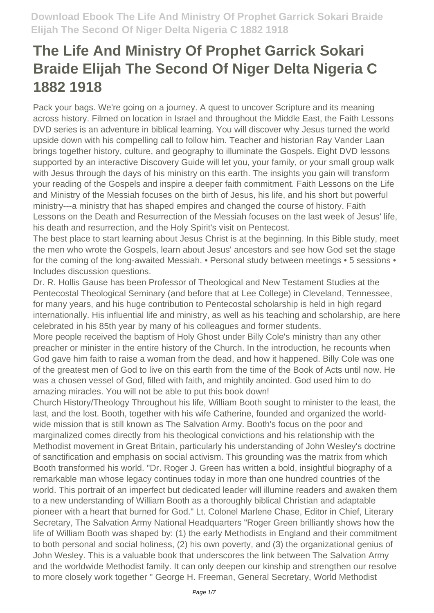Pack your bags. We're going on a journey. A quest to uncover Scripture and its meaning across history. Filmed on location in Israel and throughout the Middle East, the Faith Lessons DVD series is an adventure in biblical learning. You will discover why Jesus turned the world upside down with his compelling call to follow him. Teacher and historian Ray Vander Laan brings together history, culture, and geography to illuminate the Gospels. Eight DVD lessons supported by an interactive Discovery Guide will let you, your family, or your small group walk with Jesus through the days of his ministry on this earth. The insights you gain will transform your reading of the Gospels and inspire a deeper faith commitment. Faith Lessons on the Life and Ministry of the Messiah focuses on the birth of Jesus, his life, and his short but powerful ministry---a ministry that has shaped empires and changed the course of history. Faith Lessons on the Death and Resurrection of the Messiah focuses on the last week of Jesus' life, his death and resurrection, and the Holy Spirit's visit on Pentecost.

The best place to start learning about Jesus Christ is at the beginning. In this Bible study, meet the men who wrote the Gospels, learn about Jesus' ancestors and see how God set the stage for the coming of the long-awaited Messiah. • Personal study between meetings • 5 sessions • Includes discussion questions.

Dr. R. Hollis Gause has been Professor of Theological and New Testament Studies at the Pentecostal Theological Seminary (and before that at Lee College) in Cleveland, Tennessee, for many years, and his huge contribution to Pentecostal scholarship is held in high regard internationally. His influential life and ministry, as well as his teaching and scholarship, are here celebrated in his 85th year by many of his colleagues and former students.

More people received the baptism of Holy Ghost under Billy Cole's ministry than any other preacher or minister in the entire history of the Church. In the introduction, he recounts when God gave him faith to raise a woman from the dead, and how it happened. Billy Cole was one of the greatest men of God to live on this earth from the time of the Book of Acts until now. He was a chosen vessel of God, filled with faith, and mightily anointed. God used him to do amazing miracles. You will not be able to put this book down!

Church History/Theology Throughout his life, William Booth sought to minister to the least, the last, and the lost. Booth, together with his wife Catherine, founded and organized the worldwide mission that is still known as The Salvation Army. Booth's focus on the poor and marginalized comes directly from his theological convictions and his relationship with the Methodist movement in Great Britain, particularly his understanding of John Wesley's doctrine of sanctification and emphasis on social activism. This grounding was the matrix from which Booth transformed his world. "Dr. Roger J. Green has written a bold, insightful biography of a remarkable man whose legacy continues today in more than one hundred countries of the world. This portrait of an imperfect but dedicated leader will illumine readers and awaken them to a new understanding of William Booth as a thoroughly biblical Christian and adaptable pioneer with a heart that burned for God." Lt. Colonel Marlene Chase, Editor in Chief, Literary Secretary, The Salvation Army National Headquarters "Roger Green brilliantly shows how the life of William Booth was shaped by: (1) the early Methodists in England and their commitment to both personal and social holiness, (2) his own poverty, and (3) the organizational genius of John Wesley. This is a valuable book that underscores the link between The Salvation Army and the worldwide Methodist family. It can only deepen our kinship and strengthen our resolve to more closely work together " George H. Freeman, General Secretary, World Methodist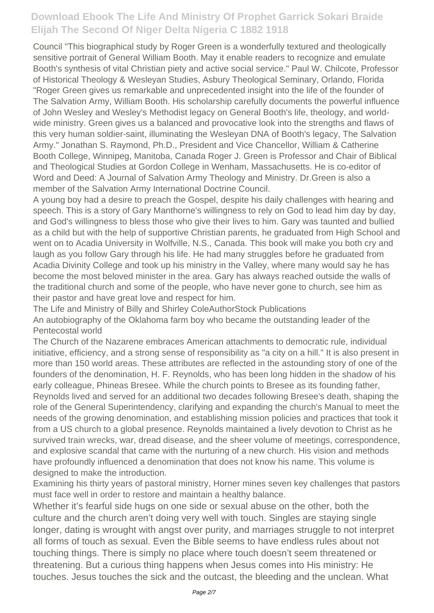Council "This biographical study by Roger Green is a wonderfully textured and theologically sensitive portrait of General William Booth. May it enable readers to recognize and emulate Booth's synthesis of vital Christian piety and active social service." Paul W. Chilcote, Professor of Historical Theology & Wesleyan Studies, Asbury Theological Seminary, Orlando, Florida "Roger Green gives us remarkable and unprecedented insight into the life of the founder of The Salvation Army, William Booth. His scholarship carefully documents the powerful influence of John Wesley and Wesley's Methodist legacy on General Booth's life, theology, and worldwide ministry. Green gives us a balanced and provocative look into the strengths and flaws of this very human soldier-saint, illuminating the Wesleyan DNA of Booth's legacy, The Salvation Army." Jonathan S. Raymond, Ph.D., President and Vice Chancellor, William & Catherine Booth College, Winnipeg, Manitoba, Canada Roger J. Green is Professor and Chair of Biblical and Theological Studies at Gordon College in Wenham, Massachusetts. He is co-editor of Word and Deed: A Journal of Salvation Army Theology and Ministry. Dr.Green is also a member of the Salvation Army International Doctrine Council.

A young boy had a desire to preach the Gospel, despite his daily challenges with hearing and speech. This is a story of Gary Manthorne's willingness to rely on God to lead him day by day, and God's willingness to bless those who give their lives to him. Gary was taunted and bullied as a child but with the help of supportive Christian parents, he graduated from High School and went on to Acadia University in Wolfville, N.S., Canada. This book will make you both cry and laugh as you follow Gary through his life. He had many struggles before he graduated from Acadia Divinity College and took up his ministry in the Valley, where many would say he has become the most beloved minister in the area. Gary has always reached outside the walls of the traditional church and some of the people, who have never gone to church, see him as their pastor and have great love and respect for him.

The Life and Ministry of Billy and Shirley ColeAuthorStock Publications

An autobiography of the Oklahoma farm boy who became the outstanding leader of the Pentecostal world

The Church of the Nazarene embraces American attachments to democratic rule, individual initiative, efficiency, and a strong sense of responsibility as "a city on a hill." It is also present in more than 150 world areas. These attributes are reflected in the astounding story of one of the founders of the denomination, H. F. Reynolds, who has been long hidden in the shadow of his early colleague, Phineas Bresee. While the church points to Bresee as its founding father, Reynolds lived and served for an additional two decades following Bresee's death, shaping the role of the General Superintendency, clarifying and expanding the church's Manual to meet the needs of the growing denomination, and establishing mission policies and practices that took it from a US church to a global presence. Reynolds maintained a lively devotion to Christ as he survived train wrecks, war, dread disease, and the sheer volume of meetings, correspondence, and explosive scandal that came with the nurturing of a new church. His vision and methods have profoundly influenced a denomination that does not know his name. This volume is designed to make the introduction.

Examining his thirty years of pastoral ministry, Horner mines seven key challenges that pastors must face well in order to restore and maintain a healthy balance.

Whether it's fearful side hugs on one side or sexual abuse on the other, both the culture and the church aren't doing very well with touch. Singles are staying single longer, dating is wrought with angst over purity, and marriages struggle to not interpret all forms of touch as sexual. Even the Bible seems to have endless rules about not touching things. There is simply no place where touch doesn't seem threatened or threatening. But a curious thing happens when Jesus comes into His ministry: He touches. Jesus touches the sick and the outcast, the bleeding and the unclean. What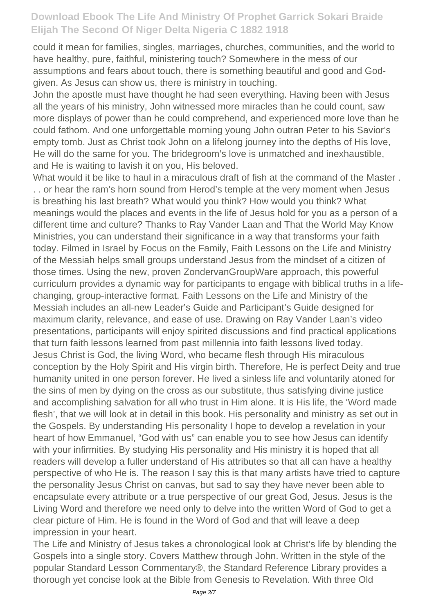could it mean for families, singles, marriages, churches, communities, and the world to have healthy, pure, faithful, ministering touch? Somewhere in the mess of our assumptions and fears about touch, there is something beautiful and good and Godgiven. As Jesus can show us, there is ministry in touching.

John the apostle must have thought he had seen everything. Having been with Jesus all the years of his ministry, John witnessed more miracles than he could count, saw more displays of power than he could comprehend, and experienced more love than he could fathom. And one unforgettable morning young John outran Peter to his Savior's empty tomb. Just as Christ took John on a lifelong journey into the depths of His love, He will do the same for you. The bridegroom's love is unmatched and inexhaustible, and He is waiting to lavish it on you, His beloved.

What would it be like to haul in a miraculous draft of fish at the command of the Master . . . or hear the ram's horn sound from Herod's temple at the very moment when Jesus is breathing his last breath? What would you think? How would you think? What meanings would the places and events in the life of Jesus hold for you as a person of a different time and culture? Thanks to Ray Vander Laan and That the World May Know Ministries, you can understand their significance in a way that transforms your faith today. Filmed in Israel by Focus on the Family, Faith Lessons on the Life and Ministry of the Messiah helps small groups understand Jesus from the mindset of a citizen of those times. Using the new, proven ZondervanGroupWare approach, this powerful curriculum provides a dynamic way for participants to engage with biblical truths in a lifechanging, group-interactive format. Faith Lessons on the Life and Ministry of the Messiah includes an all-new Leader's Guide and Participant's Guide designed for maximum clarity, relevance, and ease of use. Drawing on Ray Vander Laan's video presentations, participants will enjoy spirited discussions and find practical applications that turn faith lessons learned from past millennia into faith lessons lived today. Jesus Christ is God, the living Word, who became flesh through His miraculous conception by the Holy Spirit and His virgin birth. Therefore, He is perfect Deity and true humanity united in one person forever. He lived a sinless life and voluntarily atoned for the sins of men by dying on the cross as our substitute, thus satisfying divine justice and accomplishing salvation for all who trust in Him alone. It is His life, the 'Word made flesh', that we will look at in detail in this book. His personality and ministry as set out in the Gospels. By understanding His personality I hope to develop a revelation in your heart of how Emmanuel, "God with us" can enable you to see how Jesus can identify with your infirmities. By studying His personality and His ministry it is hoped that all readers will develop a fuller understand of His attributes so that all can have a healthy perspective of who He is. The reason I say this is that many artists have tried to capture the personality Jesus Christ on canvas, but sad to say they have never been able to encapsulate every attribute or a true perspective of our great God, Jesus. Jesus is the Living Word and therefore we need only to delve into the written Word of God to get a clear picture of Him. He is found in the Word of God and that will leave a deep impression in your heart.

The Life and Ministry of Jesus takes a chronological look at Christ's life by blending the Gospels into a single story. Covers Matthew through John. Written in the style of the popular Standard Lesson Commentary®, the Standard Reference Library provides a thorough yet concise look at the Bible from Genesis to Revelation. With three Old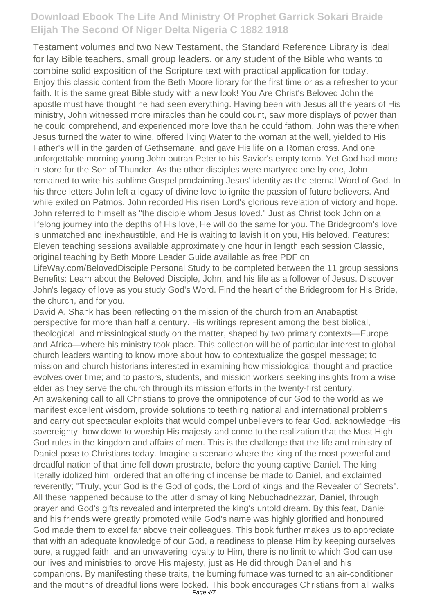Testament volumes and two New Testament, the Standard Reference Library is ideal for lay Bible teachers, small group leaders, or any student of the Bible who wants to combine solid exposition of the Scripture text with practical application for today. Enjoy this classic content from the Beth Moore library for the first time or as a refresher to your faith. It is the same great Bible study with a new look! You Are Christ's Beloved John the apostle must have thought he had seen everything. Having been with Jesus all the years of His ministry, John witnessed more miracles than he could count, saw more displays of power than he could comprehend, and experienced more love than he could fathom. John was there when Jesus turned the water to wine, offered living Water to the woman at the well, yielded to His Father's will in the garden of Gethsemane, and gave His life on a Roman cross. And one unforgettable morning young John outran Peter to his Savior's empty tomb. Yet God had more in store for the Son of Thunder. As the other disciples were martyred one by one, John remained to write his sublime Gospel proclaiming Jesus' identity as the eternal Word of God. In his three letters John left a legacy of divine love to ignite the passion of future believers. And while exiled on Patmos, John recorded His risen Lord's glorious revelation of victory and hope. John referred to himself as "the disciple whom Jesus loved." Just as Christ took John on a lifelong journey into the depths of His love, He will do the same for you. The Bridegroom's love is unmatched and inexhaustible, and He is waiting to lavish it on you, His beloved. Features: Eleven teaching sessions available approximately one hour in length each session Classic, original teaching by Beth Moore Leader Guide available as free PDF on

LifeWay.com/BelovedDisciple Personal Study to be completed between the 11 group sessions Benefits: Learn about the Beloved Disciple, John, and his life as a follower of Jesus. Discover John's legacy of love as you study God's Word. Find the heart of the Bridegroom for His Bride, the church, and for you.

David A. Shank has been reflecting on the mission of the church from an Anabaptist perspective for more than half a century. His writings represent among the best biblical, theological, and missiological study on the matter, shaped by two primary contexts—Europe and Africa—where his ministry took place. This collection will be of particular interest to global church leaders wanting to know more about how to contextualize the gospel message; to mission and church historians interested in examining how missiological thought and practice evolves over time; and to pastors, students, and mission workers seeking insights from a wise elder as they serve the church through its mission efforts in the twenty-first century. An awakening call to all Christians to prove the omnipotence of our God to the world as we manifest excellent wisdom, provide solutions to teething national and international problems and carry out spectacular exploits that would compel unbelievers to fear God, acknowledge His sovereignty, bow down to worship His majesty and come to the realization that the Most High God rules in the kingdom and affairs of men. This is the challenge that the life and ministry of Daniel pose to Christians today. Imagine a scenario where the king of the most powerful and dreadful nation of that time fell down prostrate, before the young captive Daniel. The king literally idolized him, ordered that an offering of incense be made to Daniel, and exclaimed reverently; "Truly, your God is the God of gods, the Lord of kings and the Revealer of Secrets". All these happened because to the utter dismay of king Nebuchadnezzar, Daniel, through prayer and God's gifts revealed and interpreted the king's untold dream. By this feat, Daniel and his friends were greatly promoted while God's name was highly glorified and honoured. God made them to excel far above their colleagues. This book further makes us to appreciate that with an adequate knowledge of our God, a readiness to please Him by keeping ourselves pure, a rugged faith, and an unwavering loyalty to Him, there is no limit to which God can use our lives and ministries to prove His majesty, just as He did through Daniel and his companions. By manifesting these traits, the burning furnace was turned to an air-conditioner and the mouths of dreadful lions were locked. This book encourages Christians from all walks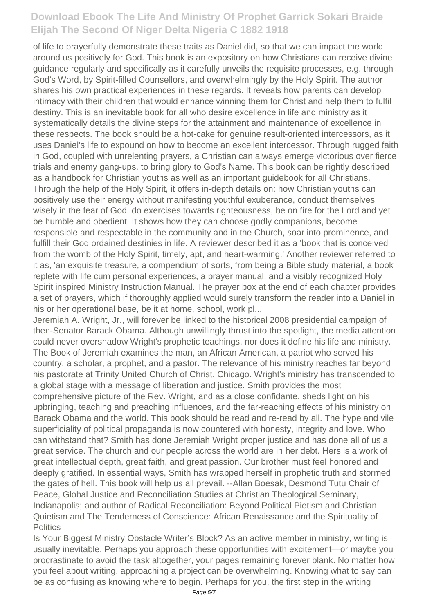of life to prayerfully demonstrate these traits as Daniel did, so that we can impact the world around us positively for God. This book is an expository on how Christians can receive divine guidance regularly and specifically as it carefully unveils the requisite processes, e.g. through God's Word, by Spirit-filled Counsellors, and overwhelmingly by the Holy Spirit. The author shares his own practical experiences in these regards. It reveals how parents can develop intimacy with their children that would enhance winning them for Christ and help them to fulfil destiny. This is an inevitable book for all who desire excellence in life and ministry as it systematically details the divine steps for the attainment and maintenance of excellence in these respects. The book should be a hot-cake for genuine result-oriented intercessors, as it uses Daniel's life to expound on how to become an excellent intercessor. Through rugged faith in God, coupled with unrelenting prayers, a Christian can always emerge victorious over fierce trials and enemy gang-ups, to bring glory to God's Name. This book can be rightly described as a handbook for Christian youths as well as an important guidebook for all Christians. Through the help of the Holy Spirit, it offers in-depth details on: how Christian youths can positively use their energy without manifesting youthful exuberance, conduct themselves wisely in the fear of God, do exercises towards righteousness, be on fire for the Lord and yet be humble and obedient. It shows how they can choose godly companions, become responsible and respectable in the community and in the Church, soar into prominence, and fulfill their God ordained destinies in life. A reviewer described it as a 'book that is conceived from the womb of the Holy Spirit, timely, apt, and heart-warming.' Another reviewer referred to it as, 'an exquisite treasure, a compendium of sorts, from being a Bible study material, a book replete with life cum personal experiences, a prayer manual, and a visibly recognized Holy Spirit inspired Ministry Instruction Manual. The prayer box at the end of each chapter provides a set of prayers, which if thoroughly applied would surely transform the reader into a Daniel in his or her operational base, be it at home, school, work pl...

Jeremiah A. Wright, Jr., will forever be linked to the historical 2008 presidential campaign of then-Senator Barack Obama. Although unwillingly thrust into the spotlight, the media attention could never overshadow Wright's prophetic teachings, nor does it define his life and ministry. The Book of Jeremiah examines the man, an African American, a patriot who served his country, a scholar, a prophet, and a pastor. The relevance of his ministry reaches far beyond his pastorate at Trinity United Church of Christ, Chicago. Wright's ministry has transcended to a global stage with a message of liberation and justice. Smith provides the most comprehensive picture of the Rev. Wright, and as a close confidante, sheds light on his upbringing, teaching and preaching influences, and the far-reaching effects of his ministry on Barack Obama and the world. This book should be read and re-read by all. The hype and vile superficiality of political propaganda is now countered with honesty, integrity and love. Who can withstand that? Smith has done Jeremiah Wright proper justice and has done all of us a great service. The church and our people across the world are in her debt. Hers is a work of great intellectual depth, great faith, and great passion. Our brother must feel honored and deeply gratified. In essential ways, Smith has wrapped herself in prophetic truth and stormed the gates of hell. This book will help us all prevail. --Allan Boesak, Desmond Tutu Chair of Peace, Global Justice and Reconciliation Studies at Christian Theological Seminary, Indianapolis; and author of Radical Reconciliation: Beyond Political Pietism and Christian Quietism and The Tenderness of Conscience: African Renaissance and the Spirituality of **Politics** 

Is Your Biggest Ministry Obstacle Writer's Block? As an active member in ministry, writing is usually inevitable. Perhaps you approach these opportunities with excitement—or maybe you procrastinate to avoid the task altogether, your pages remaining forever blank. No matter how you feel about writing, approaching a project can be overwhelming. Knowing what to say can be as confusing as knowing where to begin. Perhaps for you, the first step in the writing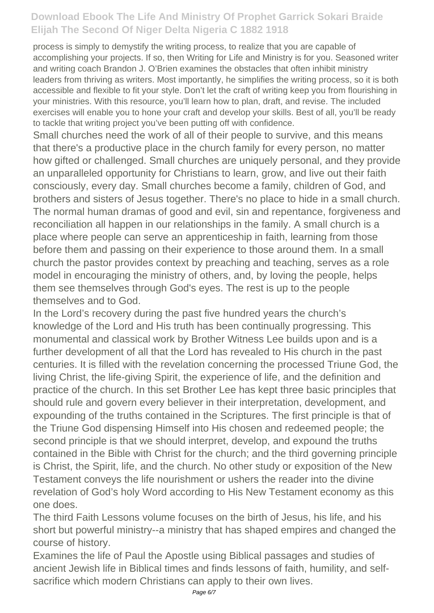process is simply to demystify the writing process, to realize that you are capable of accomplishing your projects. If so, then Writing for Life and Ministry is for you. Seasoned writer and writing coach Brandon J. O'Brien examines the obstacles that often inhibit ministry leaders from thriving as writers. Most importantly, he simplifies the writing process, so it is both accessible and flexible to fit your style. Don't let the craft of writing keep you from flourishing in your ministries. With this resource, you'll learn how to plan, draft, and revise. The included exercises will enable you to hone your craft and develop your skills. Best of all, you'll be ready to tackle that writing project you've been putting off with confidence.

Small churches need the work of all of their people to survive, and this means that there's a productive place in the church family for every person, no matter how gifted or challenged. Small churches are uniquely personal, and they provide an unparalleled opportunity for Christians to learn, grow, and live out their faith consciously, every day. Small churches become a family, children of God, and brothers and sisters of Jesus together. There's no place to hide in a small church. The normal human dramas of good and evil, sin and repentance, forgiveness and reconciliation all happen in our relationships in the family. A small church is a place where people can serve an apprenticeship in faith, learning from those before them and passing on their experience to those around them. In a small church the pastor provides context by preaching and teaching, serves as a role model in encouraging the ministry of others, and, by loving the people, helps them see themselves through God's eyes. The rest is up to the people themselves and to God.

In the Lord's recovery during the past five hundred years the church's knowledge of the Lord and His truth has been continually progressing. This monumental and classical work by Brother Witness Lee builds upon and is a further development of all that the Lord has revealed to His church in the past centuries. It is filled with the revelation concerning the processed Triune God, the living Christ, the life-giving Spirit, the experience of life, and the definition and practice of the church. In this set Brother Lee has kept three basic principles that should rule and govern every believer in their interpretation, development, and expounding of the truths contained in the Scriptures. The first principle is that of the Triune God dispensing Himself into His chosen and redeemed people; the second principle is that we should interpret, develop, and expound the truths contained in the Bible with Christ for the church; and the third governing principle is Christ, the Spirit, life, and the church. No other study or exposition of the New Testament conveys the life nourishment or ushers the reader into the divine revelation of God's holy Word according to His New Testament economy as this one does.

The third Faith Lessons volume focuses on the birth of Jesus, his life, and his short but powerful ministry--a ministry that has shaped empires and changed the course of history.

Examines the life of Paul the Apostle using Biblical passages and studies of ancient Jewish life in Biblical times and finds lessons of faith, humility, and selfsacrifice which modern Christians can apply to their own lives.